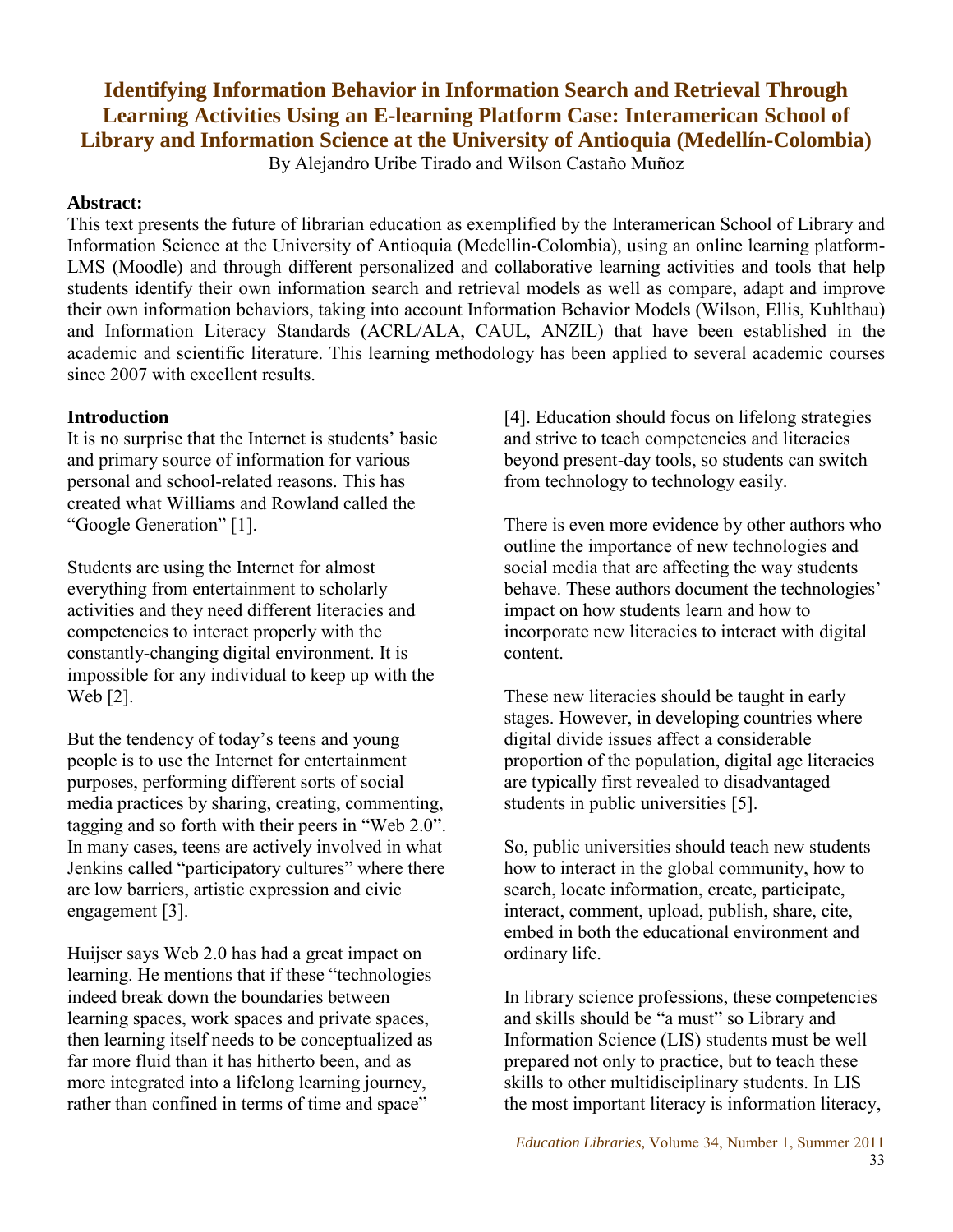# **Identifying Information Behavior in Information Search and Retrieval Through Learning Activities Using an E-learning Platform Case: Interamerican School of Library and Information Science at the University of Antioquia (Medellín-Colombia)**

By Alejandro Uribe Tirado and Wilson Castaño Muñoz

### **Abstract:**

This text presents the future of librarian education as exemplified by the Interamerican School of Library and Information Science at the University of Antioquia (Medellin-Colombia), using an online learning platform-LMS (Moodle) and through different personalized and collaborative learning activities and tools that help students identify their own information search and retrieval models as well as compare, adapt and improve their own information behaviors, taking into account Information Behavior Models (Wilson, Ellis, Kuhlthau) and Information Literacy Standards (ACRL/ALA, CAUL, ANZIL) that have been established in the academic and scientific literature. This learning methodology has been applied to several academic courses since 2007 with excellent results.

## **Introduction**

It is no surprise that the Internet is students' basic and primary source of information for various personal and school-related reasons. This has created what Williams and Rowland called the "Google Generation" [1].

Students are using the Internet for almost everything from entertainment to scholarly activities and they need different literacies and competencies to interact properly with the constantly-changing digital environment. It is impossible for any individual to keep up with the Web [2].

But the tendency of today's teens and young people is to use the Internet for entertainment purposes, performing different sorts of social media practices by sharing, creating, commenting, tagging and so forth with their peers in "Web 2.0". In many cases, teens are actively involved in what Jenkins called "participatory cultures" where there are low barriers, artistic expression and civic engagement [3].

Huijser says Web 2.0 has had a great impact on learning. He mentions that if these "technologies indeed break down the boundaries between learning spaces, work spaces and private spaces, then learning itself needs to be conceptualized as far more fluid than it has hitherto been, and as more integrated into a lifelong learning journey, rather than confined in terms of time and space"

[4]. Education should focus on lifelong strategies and strive to teach competencies and literacies beyond present-day tools, so students can switch from technology to technology easily.

There is even more evidence by other authors who outline the importance of new technologies and social media that are affecting the way students behave. These authors document the technologies' impact on how students learn and how to incorporate new literacies to interact with digital content.

These new literacies should be taught in early stages. However, in developing countries where digital divide issues affect a considerable proportion of the population, digital age literacies are typically first revealed to disadvantaged students in public universities [5].

So, public universities should teach new students how to interact in the global community, how to search, locate information, create, participate, interact, comment, upload, publish, share, cite, embed in both the educational environment and ordinary life.

In library science professions, these competencies and skills should be "a must" so Library and Information Science (LIS) students must be well prepared not only to practice, but to teach these skills to other multidisciplinary students. In LIS the most important literacy is information literacy,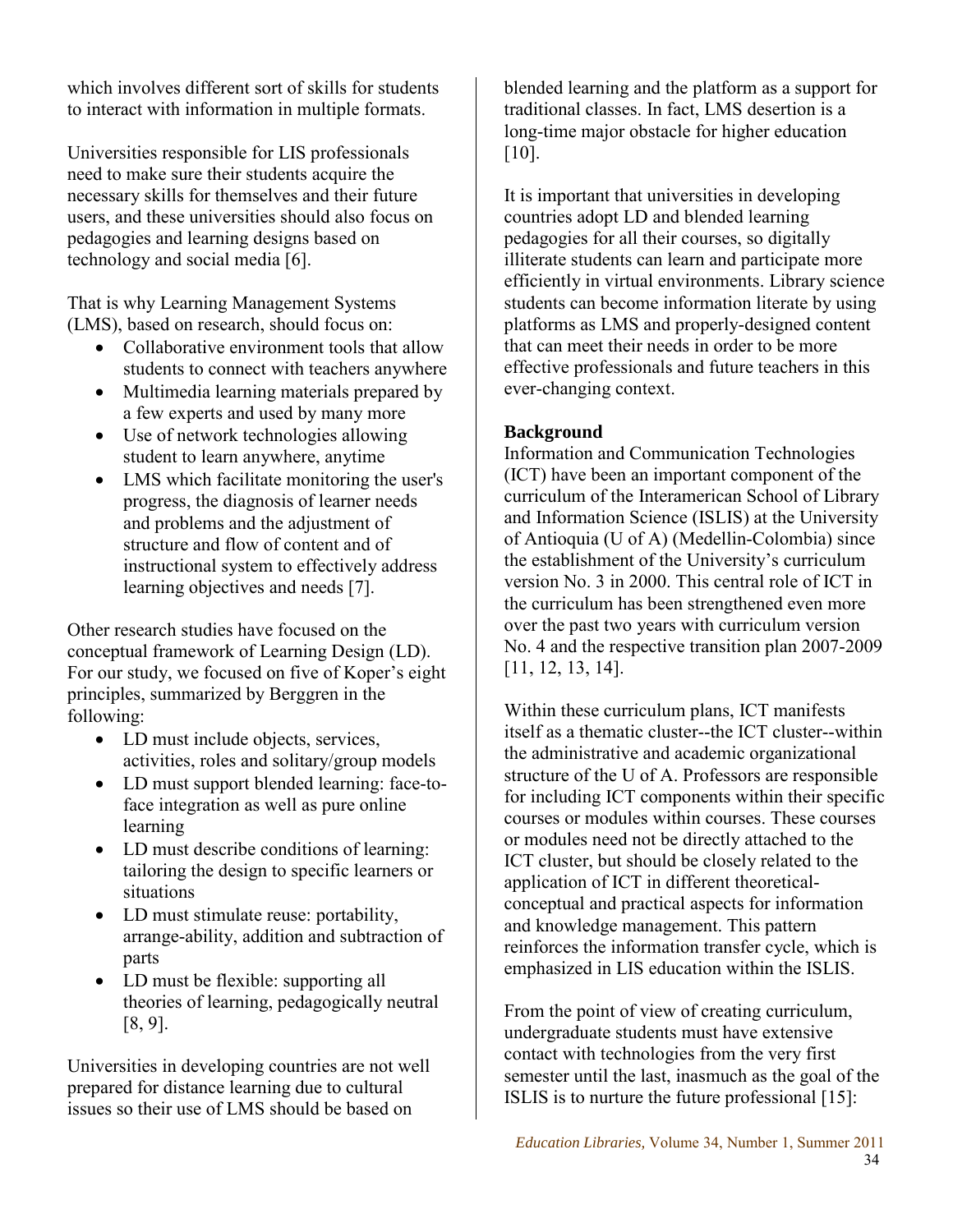which involves different sort of skills for students to interact with information in multiple formats.

Universities responsible for LIS professionals need to make sure their students acquire the necessary skills for themselves and their future users, and these universities should also focus on pedagogies and learning designs based on technology and social media [6].

That is why Learning Management Systems (LMS), based on research, should focus on:

- Collaborative environment tools that allow students to connect with teachers anywhere
- Multimedia learning materials prepared by a few experts and used by many more
- Use of network technologies allowing student to learn anywhere, anytime
- LMS which facilitate monitoring the user's progress, the diagnosis of learner needs and problems and the adjustment of structure and flow of content and of instructional system to effectively address learning objectives and needs [7].

Other research studies have focused on the conceptual framework of Learning Design (LD). For our study, we focused on five of Koper's eight principles, summarized by Berggren in the following:

- LD must include objects, services, activities, roles and solitary/group models
- LD must support blended learning: face-toface integration as well as pure online learning
- LD must describe conditions of learning: tailoring the design to specific learners or situations
- LD must stimulate reuse: portability, arrange-ability, addition and subtraction of parts
- LD must be flexible: supporting all theories of learning, pedagogically neutral [8, 9].

Universities in developing countries are not well prepared for distance learning due to cultural issues so their use of LMS should be based on

blended learning and the platform as a support for traditional classes. In fact, LMS desertion is a long-time major obstacle for higher education [10].

It is important that universities in developing countries adopt LD and blended learning pedagogies for all their courses, so digitally illiterate students can learn and participate more efficiently in virtual environments. Library science students can become information literate by using platforms as LMS and properly-designed content that can meet their needs in order to be more effective professionals and future teachers in this ever-changing context.

## **Background**

Information and Communication Technologies (ICT) have been an important component of the curriculum of the Interamerican School of Library and Information Science (ISLIS) at the University of Antioquia (U of A) (Medellin-Colombia) since the establishment of the University's curriculum version No. 3 in 2000. This central role of ICT in the curriculum has been strengthened even more over the past two years with curriculum version No. 4 and the respective transition plan 2007-2009 [11, 12, 13, 14].

Within these curriculum plans, ICT manifests itself as a thematic cluster--the ICT cluster--within the administrative and academic organizational structure of the U of A. Professors are responsible for including ICT components within their specific courses or modules within courses. These courses or modules need not be directly attached to the ICT cluster, but should be closely related to the application of ICT in different theoreticalconceptual and practical aspects for information and knowledge management. This pattern reinforces the information transfer cycle, which is emphasized in LIS education within the ISLIS.

From the point of view of creating curriculum, undergraduate students must have extensive contact with technologies from the very first semester until the last, inasmuch as the goal of the ISLIS is to nurture the future professional [15]: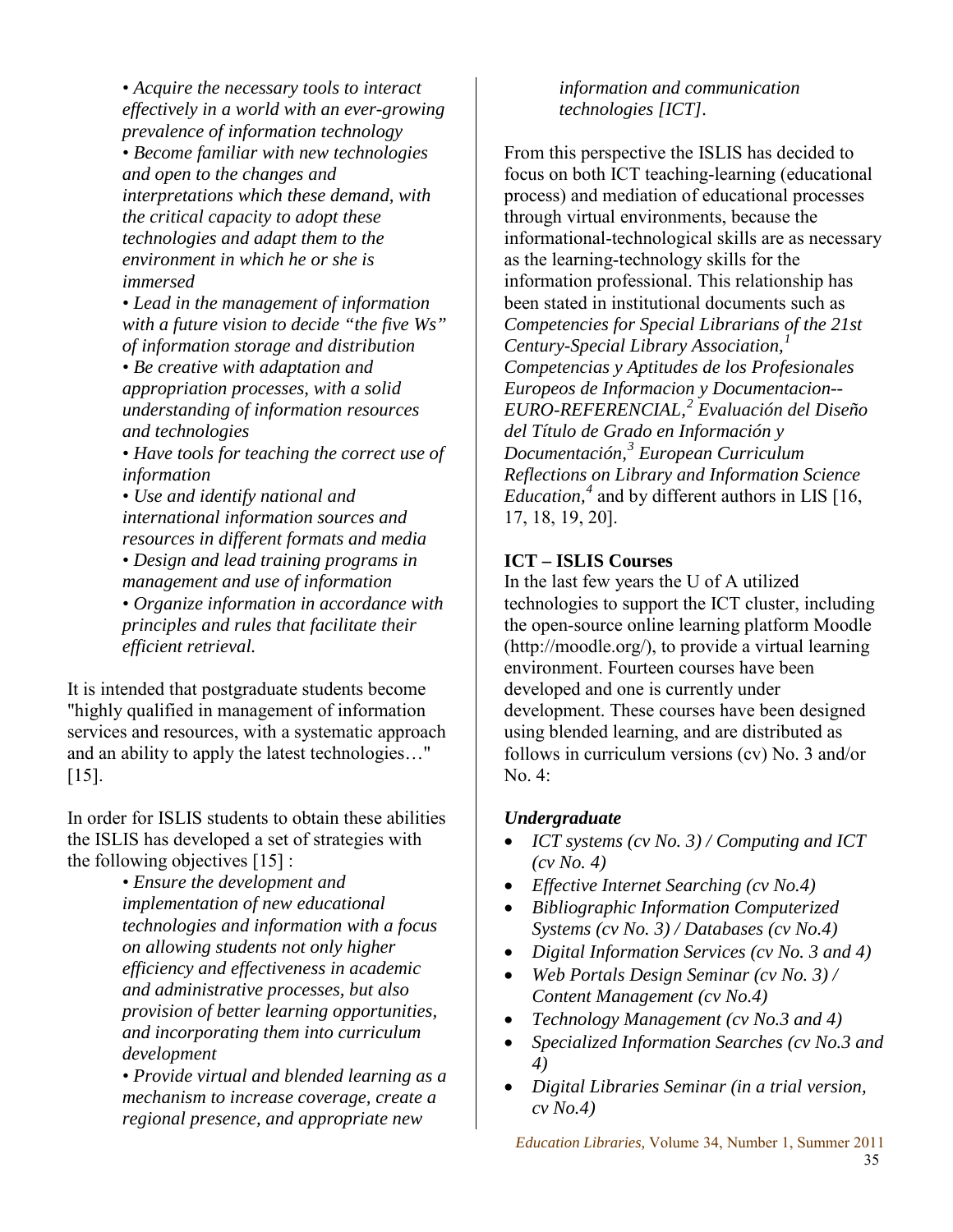*• Acquire the necessary tools to interact effectively in a world with an ever-growing prevalence of information technology • Become familiar with new technologies and open to the changes and interpretations which these demand, with the critical capacity to adopt these technologies and adapt them to the environment in which he or she is immersed*

*• Lead in the management of information with a future vision to decide "the five Ws" of information storage and distribution • Be creative with adaptation and appropriation processes, with a solid understanding of information resources and technologies*

*• Have tools for teaching the correct use of information* 

*• Use and identify national and international information sources and resources in different formats and media • Design and lead training programs in management and use of information* 

*• Organize information in accordance with principles and rules that facilitate their efficient retrieval.*

It is intended that postgraduate students become "highly qualified in management of information services and resources, with a systematic approach and an ability to apply the latest technologies…" [15].

In order for ISLIS students to obtain these abilities the ISLIS has developed a set of strategies with the following objectives [15] :

> *• Ensure the development and implementation of new educational technologies and information with a focus on allowing students not only higher efficiency and effectiveness in academic and administrative processes, but also provision of better learning opportunities, and incorporating them into curriculum development*

*• Provide virtual and blended learning as a mechanism to increase coverage, create a regional presence, and appropriate new* 

*information and communication technologies [ICT].* 

From this perspective the ISLIS has decided to focus on both ICT teaching-learning (educational process) and mediation of educational processes through virtual environments, because the informational-technological skills are as necessary as the learning-technology skills for the information professional. This relationship has been stated in institutional documents such as *Competencies for Special Librarians of the 21st Century-Special Library Association,<sup>1</sup> Competencias y Aptitudes de los Profesionales Europeos de Informacion y Documentacion-- EURO-REFERENCIAL,<sup>2</sup> Evaluación del Diseño del Título de Grado en Información y Documentación,<sup>3</sup> European Curriculum Reflections on Library and Information Science Education,<sup>4</sup>* and by different authors in LIS [16, 17, 18, 19, 20].

## **ICT – ISLIS Courses**

In the last few years the U of A utilized technologies to support the ICT cluster, including the open-source online learning platform Moodle (http://moodle.org/), to provide a virtual learning environment. Fourteen courses have been developed and one is currently under development. These courses have been designed using blended learning, and are distributed as follows in curriculum versions (cv) No. 3 and/or No. 4:

## *Undergraduate*

- *ICT systems (cv No. 3) / Computing and ICT (cv No. 4)*
- *Effective Internet Searching (cv No.4)*
- *Bibliographic Information Computerized Systems (cv No. 3) / Databases (cv No.4)*
- *Digital Information Services (cv No. 3 and 4)*
- *Web Portals Design Seminar (cv No. 3) / Content Management (cv No.4)*
- *Technology Management (cv No.3 and 4)*
- *Specialized Information Searches (cv No.3 and 4)*
- *Digital Libraries Seminar (in a trial version, cv No.4)*

*Education Libraries,* Volume 34, Number 1, Summer 2011 35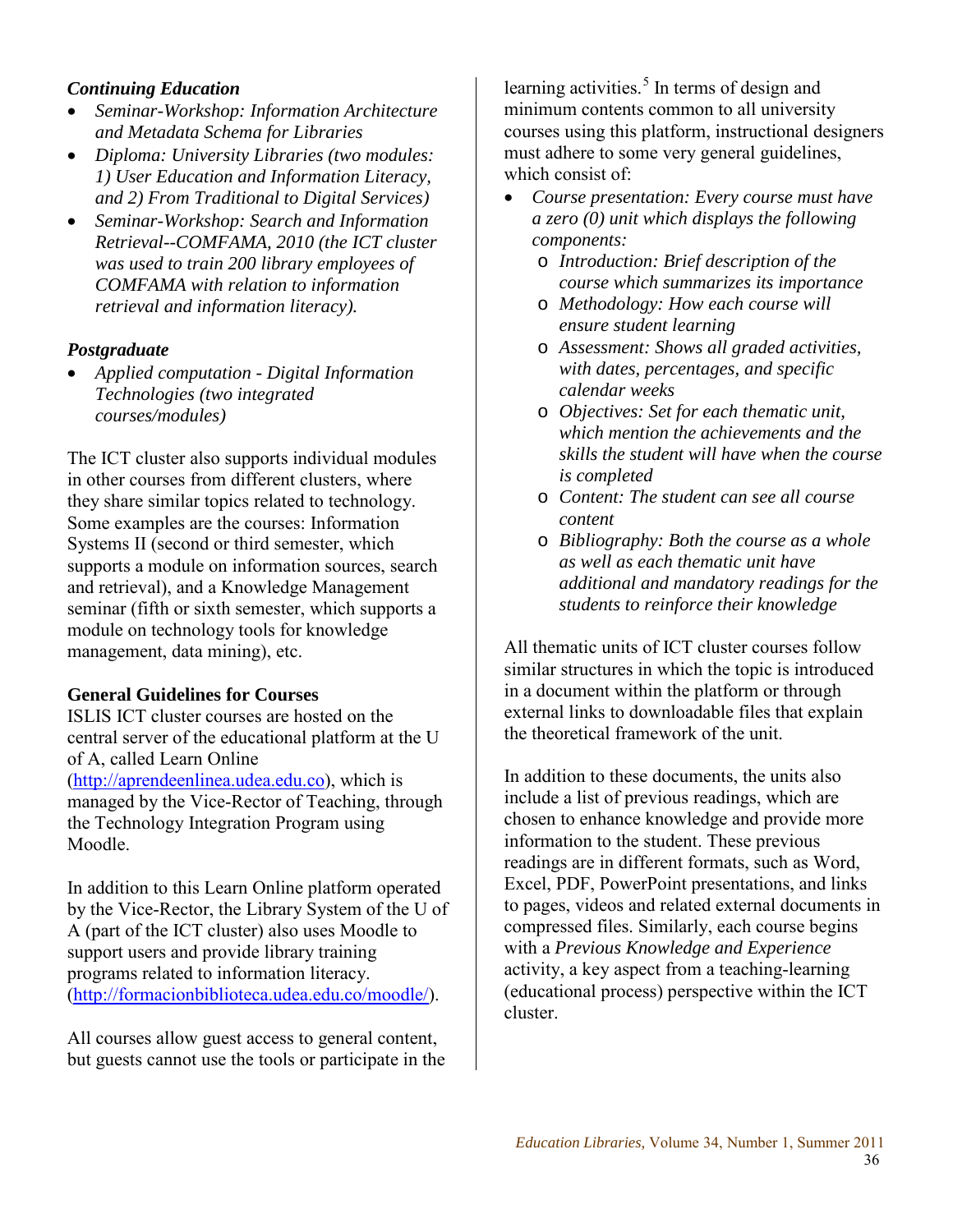## *Continuing Education*

- *Seminar-Workshop: Information Architecture and Metadata Schema for Libraries*
- *Diploma: University Libraries (two modules: 1) User Education and Information Literacy, and 2) From Traditional to Digital Services)*
- *Seminar-Workshop: Search and Information Retrieval--COMFAMA, 2010 (the ICT cluster was used to train 200 library employees of COMFAMA with relation to information retrieval and information literacy).*

#### *Postgraduate*

• *Applied computation - Digital Information Technologies (two integrated courses/modules)* 

The ICT cluster also supports individual modules in other courses from different clusters, where they share similar topics related to technology. Some examples are the courses: Information Systems II (second or third semester, which supports a module on information sources, search and retrieval), and a Knowledge Management seminar (fifth or sixth semester, which supports a module on technology tools for knowledge management, data mining), etc.

#### **General Guidelines for Courses**

ISLIS ICT cluster courses are hosted on the central server of the educational platform at the U of A, called Learn Online [\(http://aprendeenlinea.udea.edu.co\)](http://aprendeenlinea.udea.edu.co/), which is managed by the Vice-Rector of Teaching, through the Technology Integration Program using Moodle.

In addition to this Learn Online platform operated by the Vice-Rector, the Library System of the U of A (part of the ICT cluster) also uses Moodle to support users and provide library training programs related to information literacy. [\(http://formacionbiblioteca.udea.edu.co/moodle/\)](http://formacionbiblioteca.udea.edu.co/moodle/).

All courses allow guest access to general content, but guests cannot use the tools or participate in the learning activities.<sup>5</sup> In terms of design and minimum contents common to all university courses using this platform, instructional designers must adhere to some very general guidelines, which consist of:

- *Course presentation: Every course must have a zero (0) unit which displays the following components:* 
	- o *Introduction: Brief description of the course which summarizes its importance*
	- o *Methodology: How each course will ensure student learning*
	- o *Assessment: Shows all graded activities, with dates, percentages, and specific calendar weeks*
	- o *Objectives: Set for each thematic unit, which mention the achievements and the skills the student will have when the course is completed*
	- o *Content: The student can see all course content*
	- o *Bibliography: Both the course as a whole as well as each thematic unit have additional and mandatory readings for the students to reinforce their knowledge*

All thematic units of ICT cluster courses follow similar structures in which the topic is introduced in a document within the platform or through external links to downloadable files that explain the theoretical framework of the unit.

In addition to these documents, the units also include a list of previous readings, which are chosen to enhance knowledge and provide more information to the student. These previous readings are in different formats, such as Word, Excel, PDF, PowerPoint presentations, and links to pages, videos and related external documents in compressed files. Similarly, each course begins with a *Previous Knowledge and Experience* activity, a key aspect from a teaching-learning (educational process) perspective within the ICT cluster.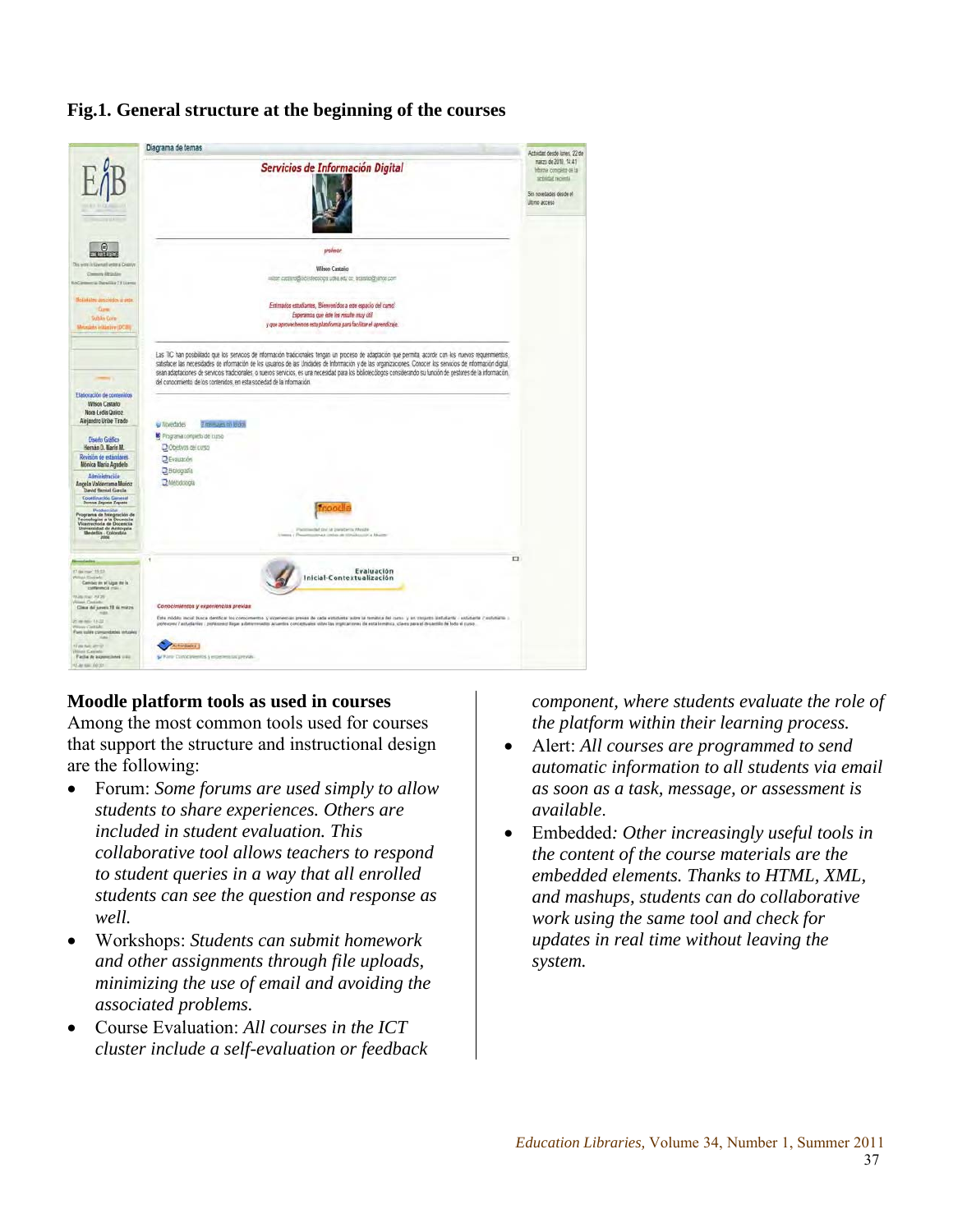

## **Fig.1. General structure at the beginning of the courses**

#### **Moodle platform tools as used in courses**

Among the most common tools used for courses that support the structure and instructional design are the following:

- Forum: *Some forums are used simply to allow students to share experiences. Others are included in student evaluation. This collaborative tool allows teachers to respond to student queries in a way that all enrolled students can see the question and response as well.*
- Workshops: *Students can submit homework and other assignments through file uploads, minimizing the use of email and avoiding the associated problems.*
- Course Evaluation: *All courses in the ICT cluster include a self-evaluation or feedback*

*component, where students evaluate the role of the platform within their learning process.* 

- Alert: *All courses are programmed to send automatic information to all students via email as soon as a task, message, or assessment is available*.
- Embedded*: Other increasingly useful tools in the content of the course materials are the embedded elements. Thanks to HTML, XML, and mashups, students can do collaborative work using the same tool and check for updates in real time without leaving the system.*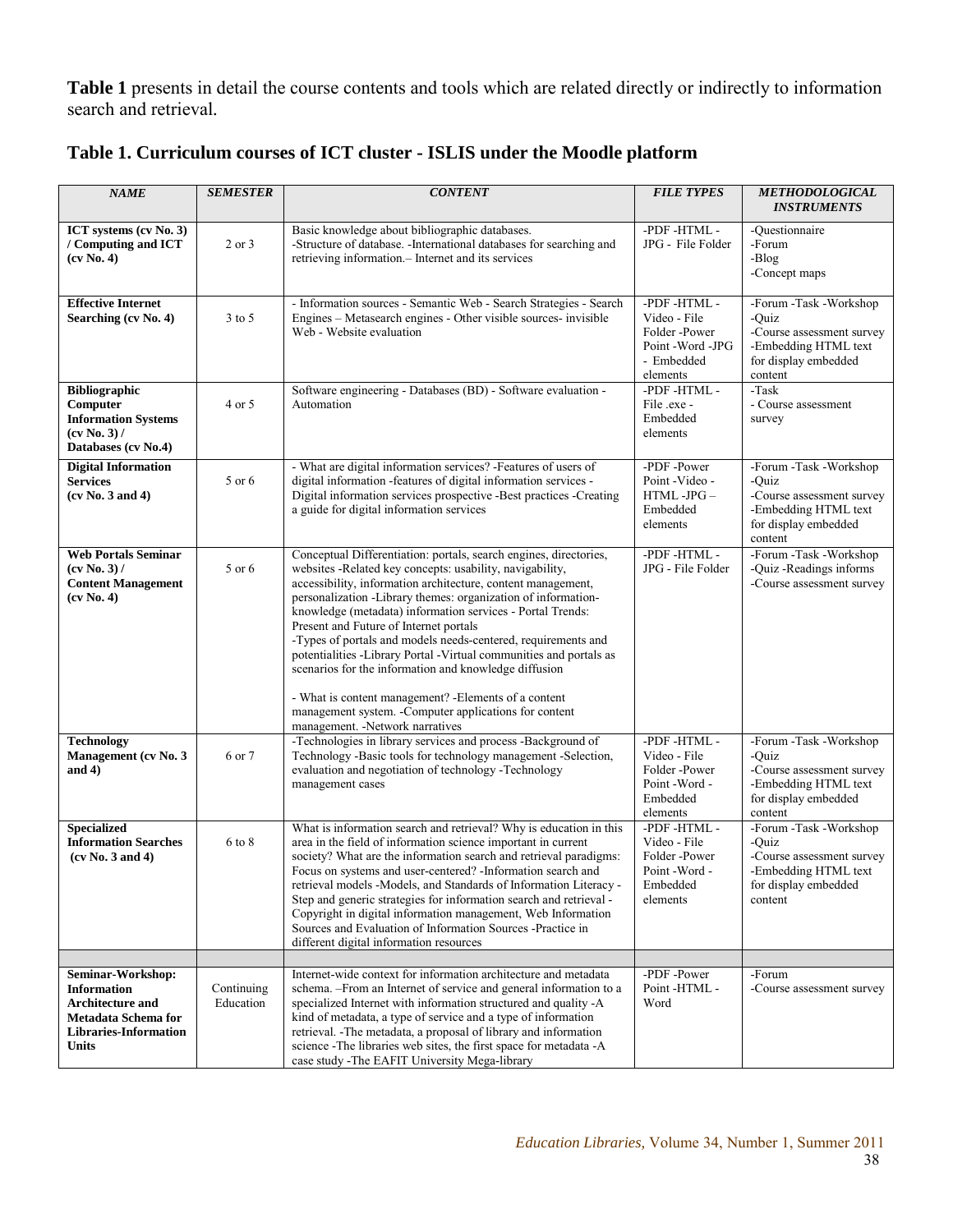**Table 1** presents in detail the course contents and tools which are related directly or indirectly to information search and retrieval*.* 

| <b>NAME</b>                                                                                                                        | <b>SEMESTER</b>         | <b>CONTENT</b>                                                                                                                                                                                                                                                                                                                                                                                                                                                                                                                                                                                                                                                                                                               | <b>FILE TYPES</b>                                                                      |                                                                                                                         |
|------------------------------------------------------------------------------------------------------------------------------------|-------------------------|------------------------------------------------------------------------------------------------------------------------------------------------------------------------------------------------------------------------------------------------------------------------------------------------------------------------------------------------------------------------------------------------------------------------------------------------------------------------------------------------------------------------------------------------------------------------------------------------------------------------------------------------------------------------------------------------------------------------------|----------------------------------------------------------------------------------------|-------------------------------------------------------------------------------------------------------------------------|
| ICT systems (cv No. 3)<br>/ Computing and ICT<br>(cv No. 4)                                                                        | 2 or 3                  | Basic knowledge about bibliographic databases.<br>-Structure of database. -International databases for searching and<br>retrieving information. - Internet and its services                                                                                                                                                                                                                                                                                                                                                                                                                                                                                                                                                  | -PDF -HTML -<br>JPG - File Folder                                                      | -Questionnaire<br>-Forum<br>-Blog<br>-Concept maps                                                                      |
| <b>Effective Internet</b><br>Searching (cv No. 4)                                                                                  | $3$ to 5                | -PDF-HTML-<br>- Information sources - Semantic Web - Search Strategies - Search<br>Engines - Metasearch engines - Other visible sources- invisible<br>Video - File<br>Web - Website evaluation<br>Folder-Power<br>Point - Word - JPG<br>- Embedded<br>elements                                                                                                                                                                                                                                                                                                                                                                                                                                                               |                                                                                        | -Forum -Task -Workshop<br>-Quiz<br>-Course assessment survey<br>-Embedding HTML text<br>for display embedded<br>content |
| <b>Bibliographic</b><br>Computer<br><b>Information Systems</b><br>(cv No. 3) /<br>Databases (cv No.4)                              | 4 or 5                  | Software engineering - Databases (BD) - Software evaluation -<br>Automation                                                                                                                                                                                                                                                                                                                                                                                                                                                                                                                                                                                                                                                  | -PDF-HTML-<br>File .exe -<br>Embedded<br>elements                                      | -Task<br>- Course assessment<br>survey                                                                                  |
| <b>Digital Information</b><br><b>Services</b><br>(cv No. 3 and 4)                                                                  | 5 or 6                  | - What are digital information services? -Features of users of<br>digital information -features of digital information services -<br>Digital information services prospective -Best practices -Creating<br>a guide for digital information services                                                                                                                                                                                                                                                                                                                                                                                                                                                                          | -PDF -Power<br>Point-Video -<br>HTML-JPG-<br>Embedded<br>elements                      | -Forum -Task -Workshop<br>-Quiz<br>-Course assessment survey<br>-Embedding HTML text<br>for display embedded<br>content |
| <b>Web Portals Seminar</b><br>(cv No. 3) /<br><b>Content Management</b><br>(cv No. 4)                                              | 5 or 6                  | Conceptual Differentiation: portals, search engines, directories,<br>websites -Related key concepts: usability, navigability,<br>accessibility, information architecture, content management,<br>personalization -Library themes: organization of information-<br>knowledge (metadata) information services - Portal Trends:<br>Present and Future of Internet portals<br>-Types of portals and models needs-centered, requirements and<br>potentialities -Library Portal -Virtual communities and portals as<br>scenarios for the information and knowledge diffusion<br>- What is content management? - Elements of a content<br>management system. - Computer applications for content<br>management. -Network narratives | -PDF -HTML -<br>JPG - File Folder                                                      | -Forum -Task -Workshop<br>-Quiz -Readings informs<br>-Course assessment survey                                          |
| <b>Technology</b><br>Management (cv No. 3<br>and $4)$                                                                              | 6 or 7                  | -Technologies in library services and process -Background of<br>Technology -Basic tools for technology management -Selection,<br>evaluation and negotiation of technology - Technology<br>management cases                                                                                                                                                                                                                                                                                                                                                                                                                                                                                                                   | -PDF-HTML-<br>Video - File<br>Folder-Power<br>Point - Word -<br>Embedded<br>elements   | -Forum -Task -Workshop<br>-Quiz<br>-Course assessment survey<br>-Embedding HTML text<br>for display embedded<br>content |
| <b>Specialized</b><br><b>Information Searches</b><br>(cv No. 3 and 4)                                                              | 6 to 8                  | What is information search and retrieval? Why is education in this<br>area in the field of information science important in current<br>society? What are the information search and retrieval paradigms:<br>Focus on systems and user-centered? - Information search and<br>retrieval models -Models, and Standards of Information Literacy -<br>Step and generic strategies for information search and retrieval -<br>Copyright in digital information management, Web Information<br>Sources and Evaluation of Information Sources -Practice in<br>different digital information resources                                                                                                                                 | -PDF -HTML -<br>Video - File<br>Folder-Power<br>Point - Word -<br>Embedded<br>elements | -Forum -Task -Workshop<br>-Quiz<br>-Course assessment survey<br>-Embedding HTML text<br>for display embedded<br>content |
|                                                                                                                                    |                         |                                                                                                                                                                                                                                                                                                                                                                                                                                                                                                                                                                                                                                                                                                                              | -PDF -Power                                                                            |                                                                                                                         |
| Seminar-Workshop:<br><b>Information</b><br><b>Architecture and</b><br>Metadata Schema for<br>Libraries-Information<br><b>Units</b> | Continuing<br>Education | Internet-wide context for information architecture and metadata<br>schema. - From an Internet of service and general information to a<br>specialized Internet with information structured and quality -A<br>kind of metadata, a type of service and a type of information<br>retrieval. -The metadata, a proposal of library and information<br>science - The libraries web sites, the first space for metadata - A<br>case study -The EAFIT University Mega-library                                                                                                                                                                                                                                                         | Point-HTML -<br>Word                                                                   | -Forum<br>-Course assessment survey                                                                                     |

## **Table 1. Curriculum courses of ICT cluster - ISLIS under the Moodle platform**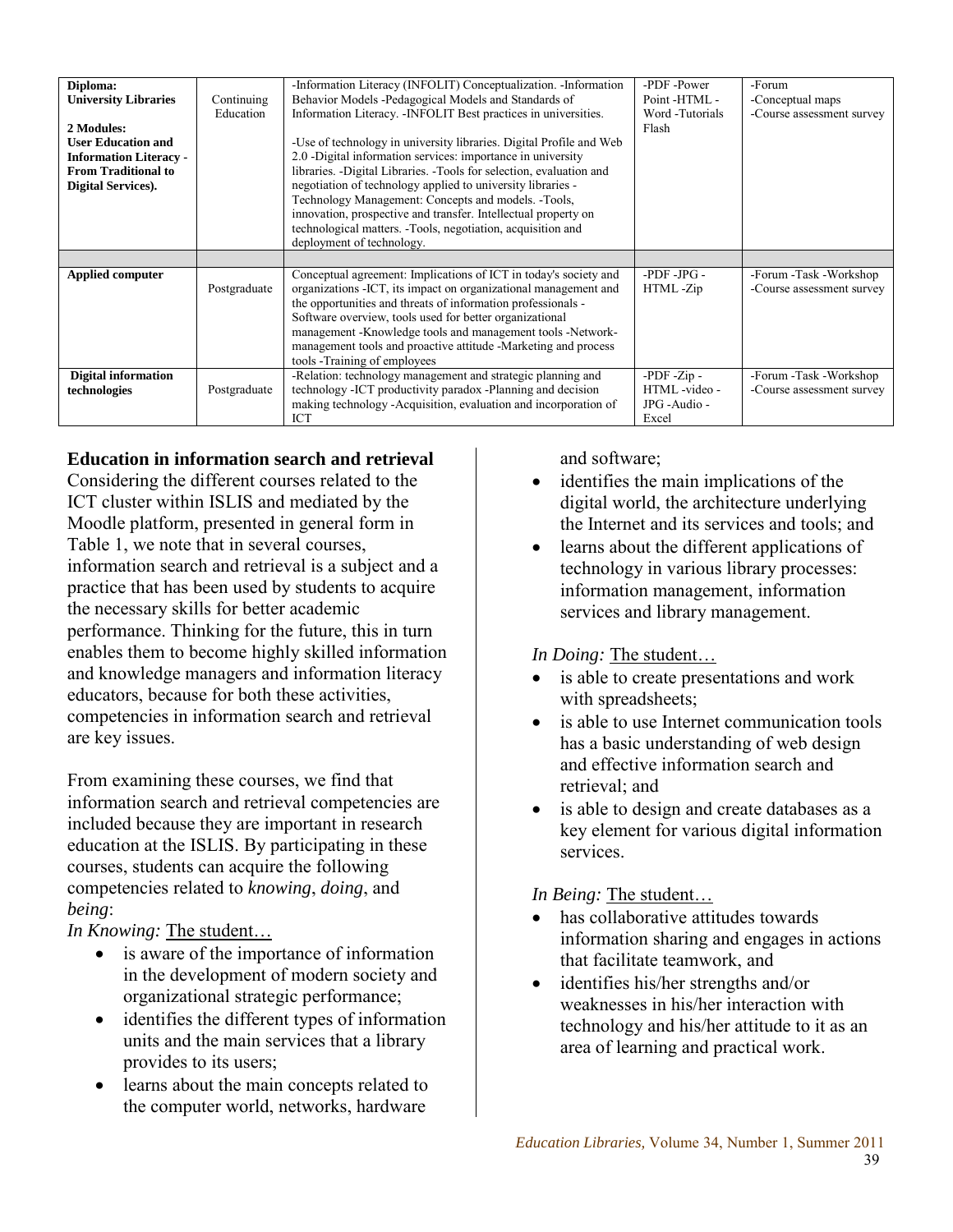| Diploma:                      |              | -Information Literacy (INFOLIT) Conceptualization. -Information         | -PDF -Power            | -Forum                    |
|-------------------------------|--------------|-------------------------------------------------------------------------|------------------------|---------------------------|
| <b>University Libraries</b>   | Continuing   | Behavior Models -Pedagogical Models and Standards of                    | Point-HTML -           | -Conceptual maps          |
|                               | Education    | Information Literacy. - INFOLIT Best practices in universities.         | Word -Tutorials        | -Course assessment survey |
| 2 Modules:                    |              |                                                                         |                        |                           |
|                               |              |                                                                         | Flash                  |                           |
| <b>User Education and</b>     |              | -Use of technology in university libraries. Digital Profile and Web     |                        |                           |
| <b>Information Literacy -</b> |              | 2.0 -Digital information services: importance in university             |                        |                           |
| <b>From Traditional to</b>    |              | libraries. -Digital Libraries. -Tools for selection, evaluation and     |                        |                           |
| <b>Digital Services).</b>     |              | negotiation of technology applied to university libraries -             |                        |                           |
|                               |              | Technology Management: Concepts and models. -Tools,                     |                        |                           |
|                               |              |                                                                         |                        |                           |
|                               |              | innovation, prospective and transfer. Intellectual property on          |                        |                           |
|                               |              | technological matters. -Tools, negotiation, acquisition and             |                        |                           |
|                               |              | deployment of technology.                                               |                        |                           |
|                               |              |                                                                         |                        |                           |
|                               |              |                                                                         |                        |                           |
|                               |              |                                                                         | $-PDF - JPG -$         |                           |
| <b>Applied computer</b>       |              | Conceptual agreement: Implications of ICT in today's society and        |                        | -Forum -Task -Workshop    |
|                               | Postgraduate | organizations - ICT, its impact on organizational management and        | HTML-Zip               | -Course assessment survey |
|                               |              | the opportunities and threats of information professionals -            |                        |                           |
|                               |              | Software overview, tools used for better organizational                 |                        |                           |
|                               |              | management -Knowledge tools and management tools -Network-              |                        |                           |
|                               |              | management tools and proactive attitude -Marketing and process          |                        |                           |
|                               |              |                                                                         |                        |                           |
|                               |              | tools -Training of employees                                            |                        |                           |
| <b>Digital information</b>    |              | -Relation: technology management and strategic planning and             | -PDF -Zip -            | -Forum -Task -Workshop    |
| technologies                  | Postgraduate | technology - ICT productivity paradox - Planning and decision           | HTML-video-            | -Course assessment survey |
|                               |              | making technology - Acquisition, evaluation and incorporation of<br>ICT | JPG - Audio -<br>Excel |                           |

## **Education in information search and retrieval**

Considering the different courses related to the ICT cluster within ISLIS and mediated by the Moodle platform, presented in general form in Table 1, we note that in several courses, information search and retrieval is a subject and a practice that has been used by students to acquire the necessary skills for better academic performance. Thinking for the future, this in turn enables them to become highly skilled information and knowledge managers and information literacy educators, because for both these activities, competencies in information search and retrieval are key issues.

From examining these courses, we find that information search and retrieval competencies are included because they are important in research education at the ISLIS. By participating in these courses, students can acquire the following competencies related to *knowing*, *doing*, and *being*:

*In Knowing:* The student…

- is aware of the importance of information in the development of modern society and organizational strategic performance;
- identifies the different types of information units and the main services that a library provides to its users;
- learns about the main concepts related to the computer world, networks, hardware

and software;

- identifies the main implications of the digital world, the architecture underlying the Internet and its services and tools; and
- learns about the different applications of technology in various library processes: information management, information services and library management.

## *In Doing:* The student…

- is able to create presentations and work with spreadsheets;
- is able to use Internet communication tools has a basic understanding of web design and effective information search and retrieval; and
- is able to design and create databases as a key element for various digital information services.

*In Being:* The student…

- has collaborative attitudes towards information sharing and engages in actions that facilitate teamwork, and
- identifies his/her strengths and/or weaknesses in his/her interaction with technology and his/her attitude to it as an area of learning and practical work.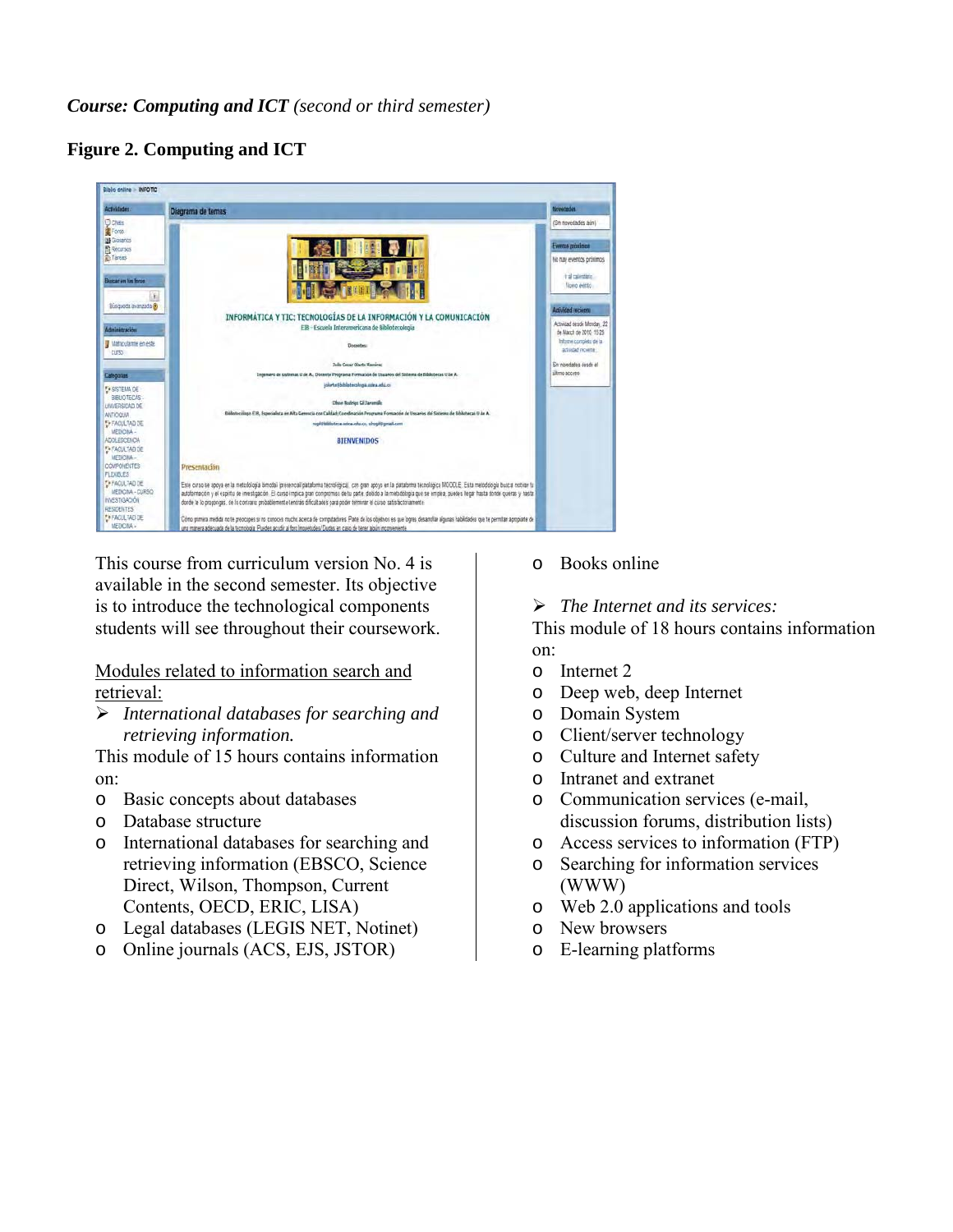*Course: Computing and ICT (second or third semester)*

## **Figure 2. Computing and ICT**

| Biblio online MFOTIC                     |                                                                                                                                                                                   |                                                  |
|------------------------------------------|-----------------------------------------------------------------------------------------------------------------------------------------------------------------------------------|--------------------------------------------------|
| Actividades                              | Diagrama de temas                                                                                                                                                                 | <b>Novements</b>                                 |
| <b>D</b> crats                           |                                                                                                                                                                                   | (Sin novedades aún)                              |
| Fores                                    |                                                                                                                                                                                   |                                                  |
| <b>B</b> Gosarios                        |                                                                                                                                                                                   | Eventos próximos                                 |
| 图 Recursos<br><b><i>Careas</i></b>       |                                                                                                                                                                                   |                                                  |
|                                          |                                                                                                                                                                                   | No nay eventos próximos                          |
|                                          |                                                                                                                                                                                   | it il calentato.                                 |
| Buicar on his fons                       |                                                                                                                                                                                   | figero exitto:                                   |
| k                                        |                                                                                                                                                                                   |                                                  |
| Búsqueda avanzada (?)                    |                                                                                                                                                                                   | Actividad recients                               |
|                                          | INFORMÁTICA Y TIC: TECNOLOGÍAS DE LA INFORMACIÓN Y LA COMUNICACIÓN                                                                                                                |                                                  |
| dministración                            | EIB - Escuela Interamericana de Bibliotecologia                                                                                                                                   | Actividad desde Monday, 22                       |
|                                          |                                                                                                                                                                                   | de Mach de 2010, 15:25<br>Informa completo de la |
| V Matricularme en este                   | <b><i><u>Thrasites:</u></i></b>                                                                                                                                                   | actudad moante                                   |
| curso:                                   |                                                                                                                                                                                   |                                                  |
|                                          | Jolie Cesar Olarte Kaminez                                                                                                                                                        | Sin noindades desde el<br>iltero acceso          |
| Categorian                               | Ingenero de tatemas il de A., Docente Programa Formación de Utuarios del Sistema de Bibliotecas U de A.                                                                           |                                                  |
| <b>Ex SISTEMA DE</b>                     | blarte#bblistecologia.odea.edu.cn                                                                                                                                                 |                                                  |
| BELIOTECAS-                              | Disse Rodrigs Gil Jaramile                                                                                                                                                        |                                                  |
| UNIVERSIDAD DE<br><b>ANTIQUIA</b>        | Biblotecologo EIB, Especialista en Alta Gerencia con Calidad; Coordinación Programa Formación de Ussarios del Sistema de Biblotecas 9 de A.                                       |                                                  |
| EX FACULTAD DE                           | ropithisiotera adex.edu.co. siropittgmal.com                                                                                                                                      |                                                  |
| <b>MEDICINA-</b>                         |                                                                                                                                                                                   |                                                  |
| ADOLESCENDA                              | <b>BIENVENIDOS</b>                                                                                                                                                                |                                                  |
| <b>FA FACULTAD DE</b><br>MFTNONA-        |                                                                                                                                                                                   |                                                  |
| COMPONENTES.                             | Presentación                                                                                                                                                                      |                                                  |
| FLEXIBLES:                               |                                                                                                                                                                                   |                                                  |
| EF FACULTAD DE                           | Este curso se spoya en la metodologia bimodal (presencial/plataforma tecnológica), con gran apoyo en la plataforma tecnológica MOCCLE. Esta metodologia busca motivar lu          |                                                  |
| MEDICINA - CURSO                         | autoformación y el espirito de investigación. El curso implica gran compromiso de tu parte, debido a la metódología que se emplea, puedes llegar hasta donde queras y hasta       |                                                  |
| <b>IMESTIGACIÓN</b><br><b>RESIDENTES</b> | donde la lo propongas, de la contrario probablemente tendrás dificultades para poder terminar el curso satisfactoriamente                                                         |                                                  |
| F+ FACULTAD DE                           | Cómo primira medida no te preocupes si no conoces mucho acerca de computadores. Parte de los objetivos es que logres desanollar algunas habilidades que te permitan apropiante de |                                                  |
| MEDICINA -                               | una manera adecuada de la tecnología. Puedes acudir al foro inquetudes/ Dudas en caso de tener algún inconveniente                                                                |                                                  |

This course from curriculum version No. 4 is available in the second semester. Its objective is to introduce the technological components students will see throughout their coursework.

Modules related to information search and retrieval:

 *International databases for searching and retrieving information.* 

This module of 15 hours contains information on:

- o Basic concepts about databases
- o Database structure
- o International databases for searching and retrieving information (EBSCO, Science Direct, Wilson, Thompson, Current Contents, OECD, ERIC, LISA)
- o Legal databases (LEGIS NET, Notinet)
- o Online journals (ACS, EJS, JSTOR)
- o Books online
- *The Internet and its services:*

This module of 18 hours contains information on:

- o Internet 2
- o Deep web, deep Internet
- o Domain System
- Client/server technology
- o Culture and Internet safety
- o Intranet and extranet
- o Communication services (e-mail, discussion forums, distribution lists)
- o Access services to information (FTP)
- Searching for information services (WWW)
- o Web 2.0 applications and tools
- o New browsers<br>
o E-learning plat
- E-learning platforms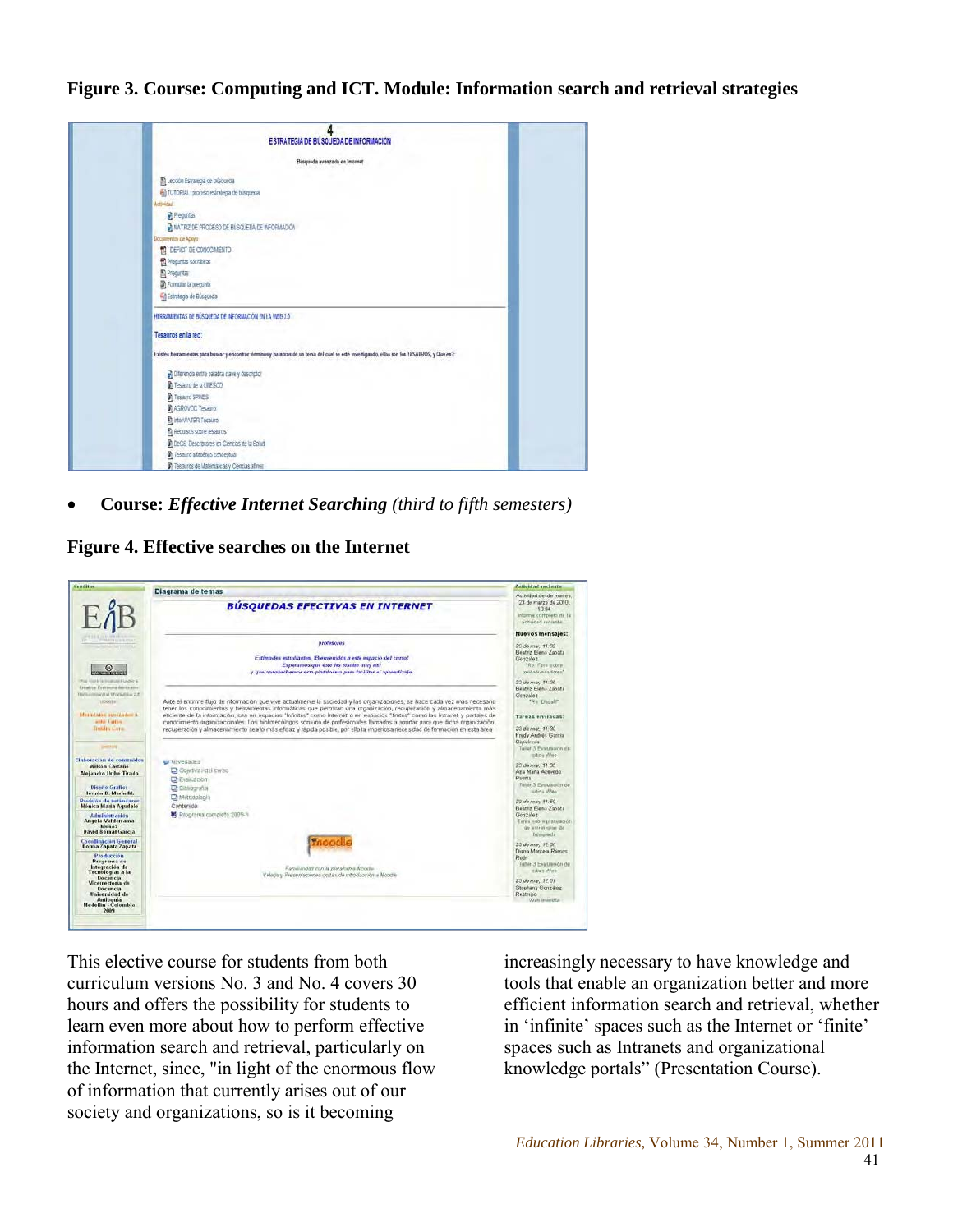**Figure 3. Course: Computing and ICT. Module: Information search and retrieval strategies**



• **Course:** *Effective Internet Searching (third to fifth semesters)*

**Figure 4. Effective searches on the Internet**



This elective course for students from both curriculum versions No. 3 and No. 4 covers 30 hours and offers the possibility for students to learn even more about how to perform effective information search and retrieval, particularly on the Internet, since, "in light of the enormous flow of information that currently arises out of our society and organizations, so is it becoming

increasingly necessary to have knowledge and tools that enable an organization better and more efficient information search and retrieval, whether in 'infinite' spaces such as the Internet or 'finite' spaces such as Intranets and organizational knowledge portals" (Presentation Course).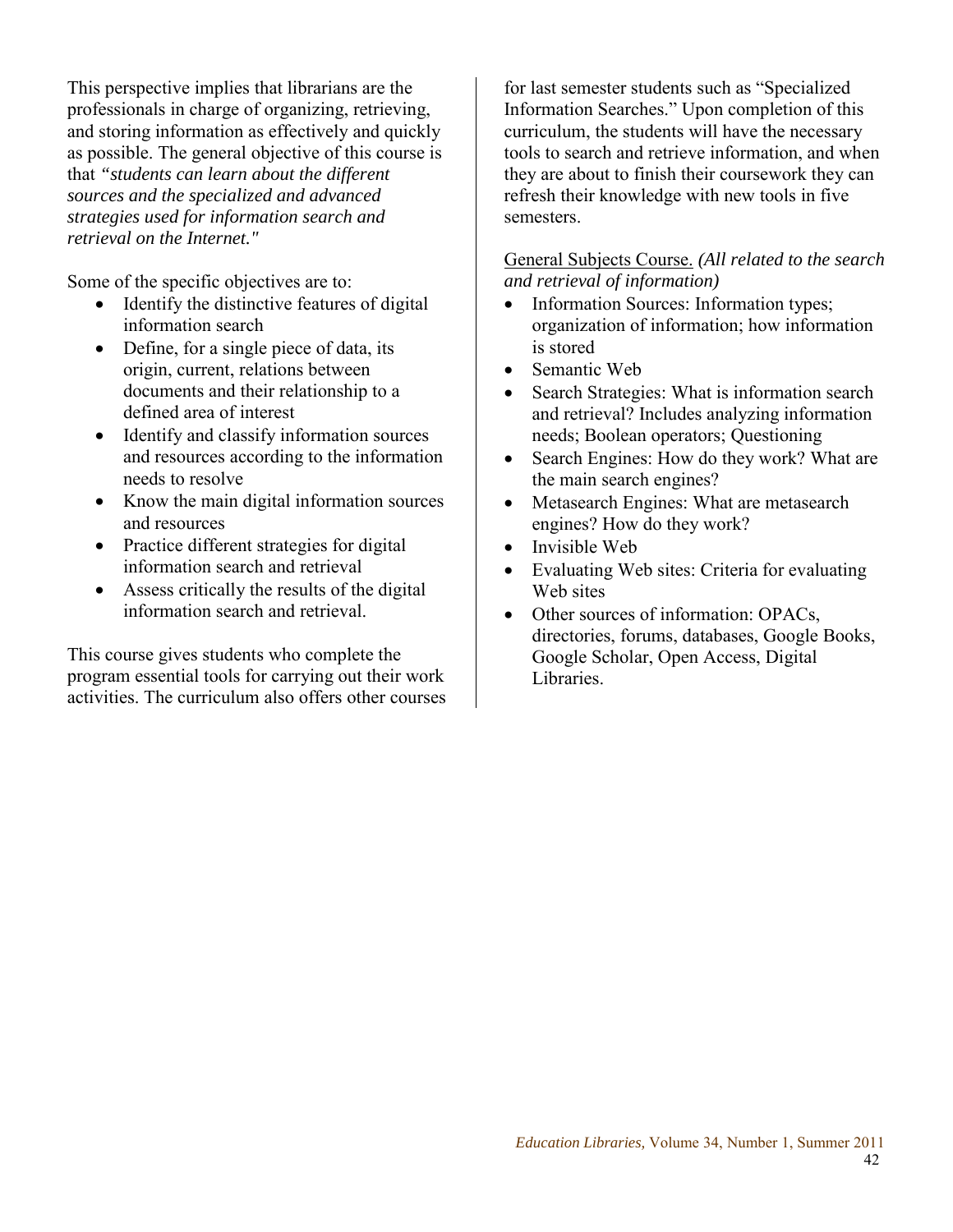This perspective implies that librarians are the professionals in charge of organizing, retrieving, and storing information as effectively and quickly as possible. The general objective of this course is that *"students can learn about the different sources and the specialized and advanced strategies used for information search and retrieval on the Internet."*

Some of the specific objectives are to:

- Identify the distinctive features of digital information search
- Define, for a single piece of data, its origin, current, relations between documents and their relationship to a defined area of interest
- Identify and classify information sources and resources according to the information needs to resolve
- Know the main digital information sources and resources
- Practice different strategies for digital information search and retrieval
- Assess critically the results of the digital information search and retrieval.

This course gives students who complete the program essential tools for carrying out their work activities. The curriculum also offers other courses for last semester students such as "Specialized Information Searches." Upon completion of this curriculum, the students will have the necessary tools to search and retrieve information, and when they are about to finish their coursework they can refresh their knowledge with new tools in five semesters.

#### General Subjects Course. *(All related to the search and retrieval of information)*

- Information Sources: Information types; organization of information; how information is stored
- Semantic Web
- Search Strategies: What is information search and retrieval? Includes analyzing information needs; Boolean operators; Questioning
- Search Engines: How do they work? What are the main search engines?
- Metasearch Engines: What are metasearch engines? How do they work?
- Invisible Web
- Evaluating Web sites: Criteria for evaluating Web sites
- Other sources of information: OPACs, directories, forums, databases, Google Books, Google Scholar, Open Access, Digital Libraries.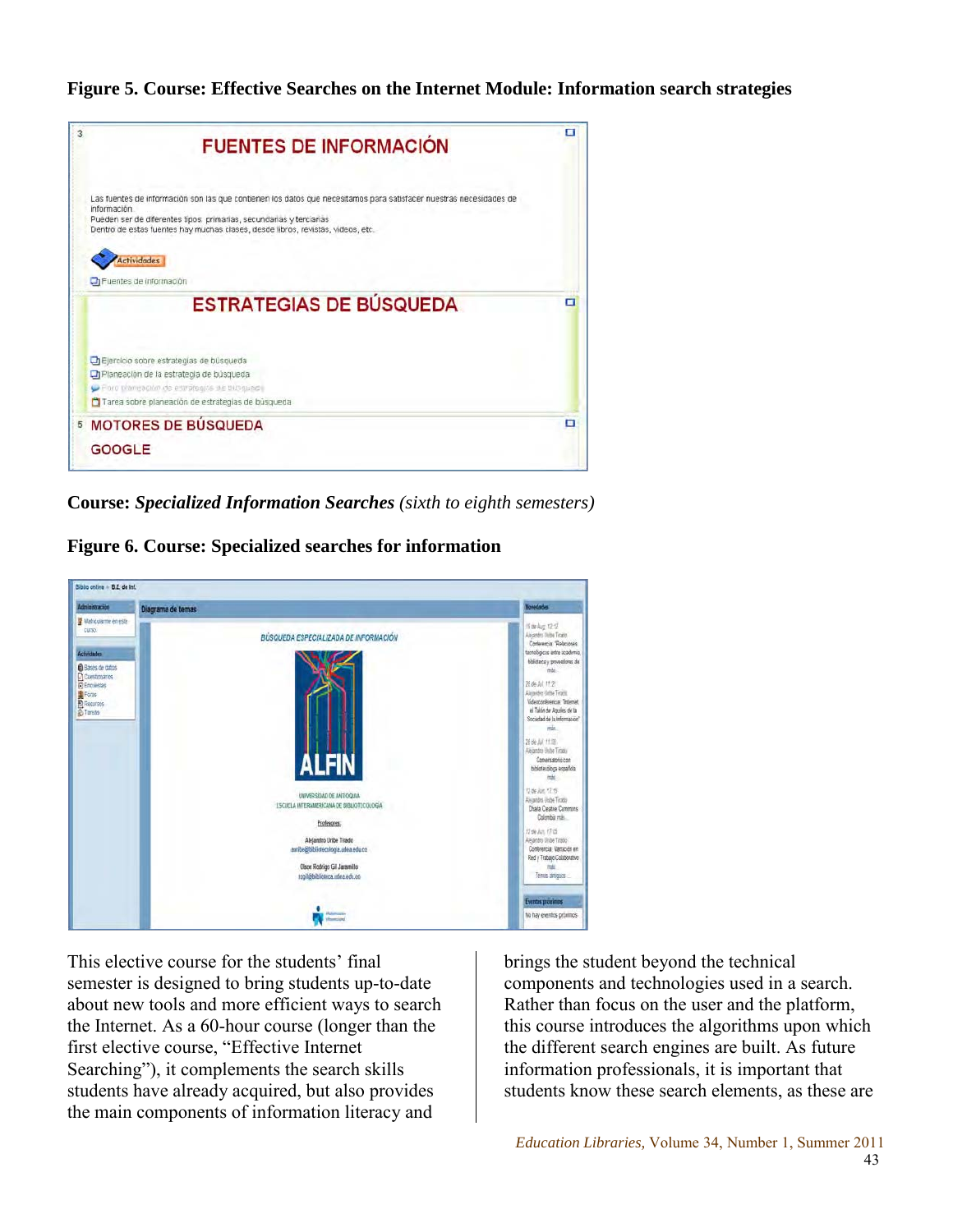**Figure 5. Course: Effective Searches on the Internet Module: Information search strategies**



**Course:** *Specialized Information Searches (sixth to eighth semesters)*

**Figure 6. Course: Specialized searches for information**



This elective course for the students' final semester is designed to bring students up-to-date about new tools and more efficient ways to search the Internet. As a 60-hour course (longer than the first elective course, "Effective Internet Searching"), it complements the search skills students have already acquired, but also provides the main components of information literacy and

brings the student beyond the technical components and technologies used in a search. Rather than focus on the user and the platform, this course introduces the algorithms upon which the different search engines are built. As future information professionals, it is important that students know these search elements, as these are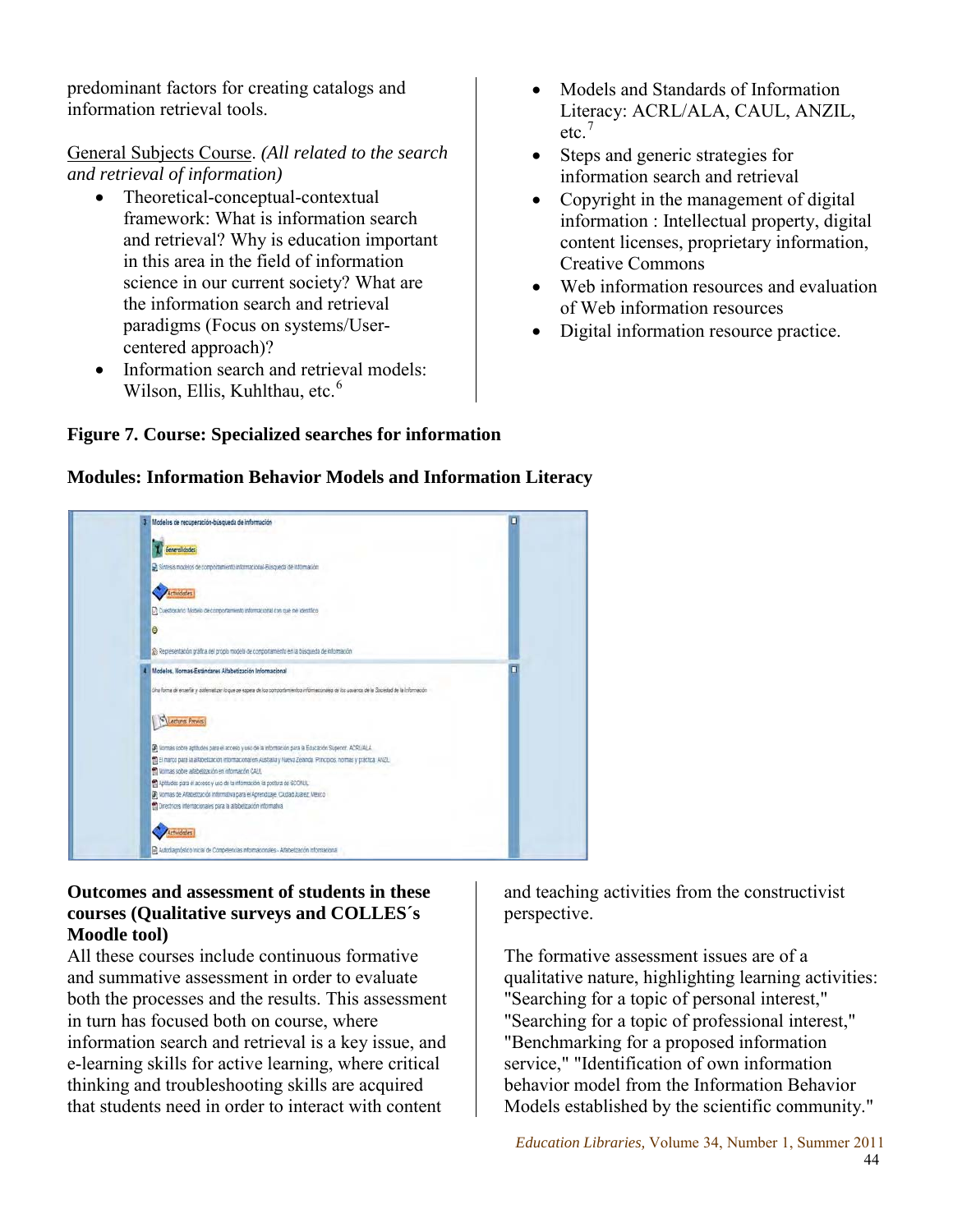predominant factors for creating catalogs and information retrieval tools.

## General Subjects Course. *(All related to the search and retrieval of information)*

- Theoretical-conceptual-contextual framework: What is information search and retrieval? Why is education important in this area in the field of information science in our current society? What are the information search and retrieval paradigms (Focus on systems/Usercentered approach)?
- Information search and retrieval models: Wilson, Ellis, Kuhlthau, etc.<sup>6</sup>
- Models and Standards of Information Literacy: ACRL/ALA, CAUL, ANZIL, etc.<sup>7</sup>
- Steps and generic strategies for information search and retrieval
- Copyright in the management of digital information : Intellectual property, digital content licenses, proprietary information, Creative Commons
- Web information resources and evaluation of Web information resources
- Digital information resource practice.

#### Modelos de recuperación-búsqueda de información Control dodes Si Sínesis modelos de comportamiento informacional-Busqueda de Información Actividades [7] Cuestonano Modelo de comportamento informacional con que ne identifico le 2) Representación grafica del propio modelo de comportamiento en la búsqueda de información Modelos, Normas-Estándares Alfabetización Informacional .<br>The forma de enseñar y diatematizar lo que us espera de los comportamientos informacionaiss de los usuanos de la Sociedad de la Infor S Lectures Previos Di Nomas sobre aptitudes para el acceso y uso de la información para la Educación Superior. ACRLALA El El marco para la alfabetización informacional en Australia y Nueva Zelanda Principos, normas y práctica ANZIL to Nomas sobre alfabetización en información CALA. El Aptitudes para el acceso y uso de la información la postura de SCONUL .<br>2) Nomias de Alfabetización Informativa para el Aprendizale. Cludad Juárez, México El Directices internacionales para la affabetización informativa Artividades R Autodagnóstico Inicial de Competencias Informacionales - Alfabetzación Informaciona

# **Figure 7. Course: Specialized searches for information**

## **Modules: Information Behavior Models and Information Literacy**

**Outcomes and assessment of students in these courses (Qualitative surveys and COLLES´s Moodle tool)** 

All these courses include continuous formative and summative assessment in order to evaluate both the processes and the results. This assessment in turn has focused both on course, where information search and retrieval is a key issue, and e-learning skills for active learning, where critical thinking and troubleshooting skills are acquired that students need in order to interact with content

and teaching activities from the constructivist perspective.

The formative assessment issues are of a qualitative nature, highlighting learning activities: "Searching for a topic of personal interest," "Searching for a topic of professional interest," "Benchmarking for a proposed information service," "Identification of own information behavior model from the Information Behavior Models established by the scientific community."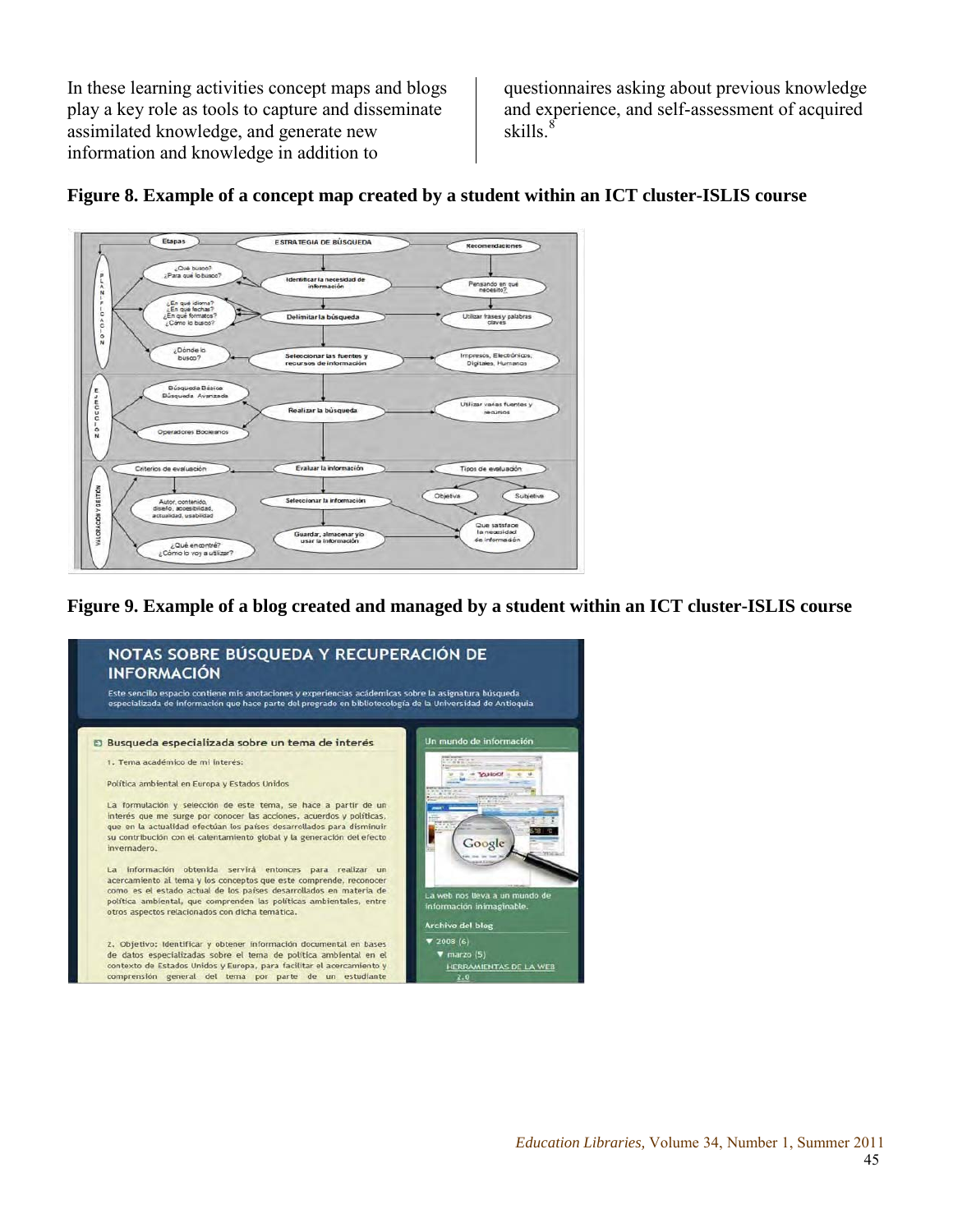In these learning activities concept maps and blogs play a key role as tools to capture and disseminate assimilated knowledge, and generate new information and knowledge in addition to

questionnaires asking about previous knowledge and experience, and self-assessment of acquired skills. $\frac{8}{3}$ 



## **Figure 8. Example of a concept map created by a student within an ICT cluster-ISLIS course**

#### **Figure 9. Example of a blog created and managed by a student within an ICT cluster-ISLIS course**

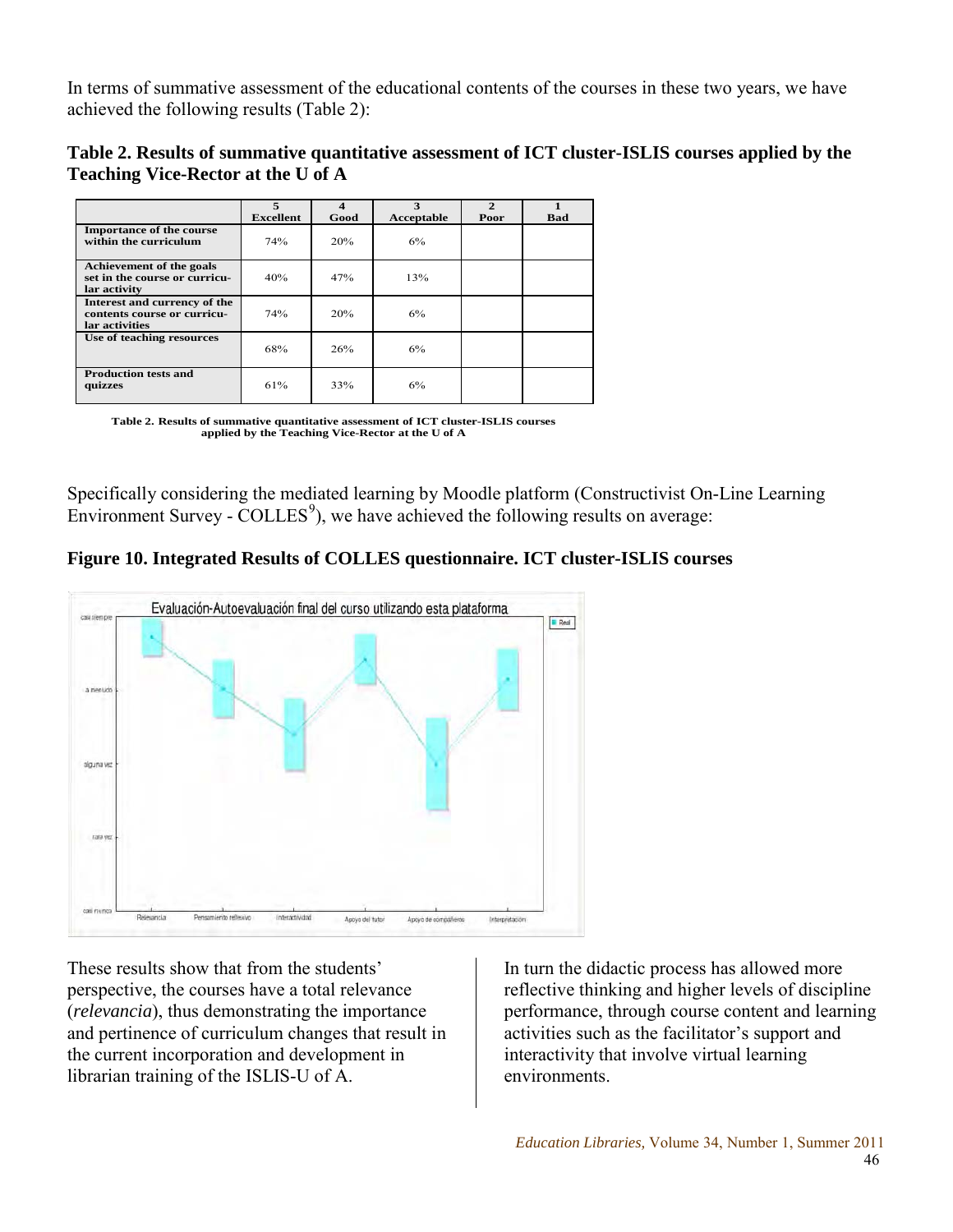In terms of summative assessment of the educational contents of the courses in these two years, we have achieved the following results (Table 2):

| Table 2. Results of summative quantitative assessment of ICT cluster-ISLIS courses applied by the |  |
|---------------------------------------------------------------------------------------------------|--|
| <b>Teaching Vice-Rector at the U of A</b>                                                         |  |

|                                                                               | 5                | Δ    | 3          | $\mathcal{P}$ |     |
|-------------------------------------------------------------------------------|------------------|------|------------|---------------|-----|
|                                                                               | <b>Excellent</b> | Good | Acceptable | Poor          | Bad |
| <b>Importance of the course</b><br>within the curriculum                      | 74%              | 20%  | 6%         |               |     |
| Achievement of the goals<br>set in the course or curricu-<br>lar activity     | 40%              | 47%  | 13%        |               |     |
| Interest and currency of the<br>contents course or curricu-<br>lar activities | 74%              | 20%  | 6%         |               |     |
| Use of teaching resources                                                     | 68%              | 26%  | 6%         |               |     |
| <b>Production tests and</b><br>quizzes                                        | 61%              | 33%  | 6%         |               |     |

**Table 2. Results of summative quantitative assessment of ICT cluster-ISLIS courses applied by the Teaching Vice-Rector at the U of A**

Specifically considering the mediated learning by Moodle platform (Constructivist On-Line Learning Environment Survey -  $COLLES<sup>9</sup>$ , we have achieved the following results on average:

**Figure 10. Integrated Results of COLLES questionnaire. ICT cluster-ISLIS courses**



These results show that from the students' perspective, the courses have a total relevance (*relevancia*), thus demonstrating the importance and pertinence of curriculum changes that result in the current incorporation and development in librarian training of the ISLIS-U of A.

In turn the didactic process has allowed more reflective thinking and higher levels of discipline performance, through course content and learning activities such as the facilitator's support and interactivity that involve virtual learning environments.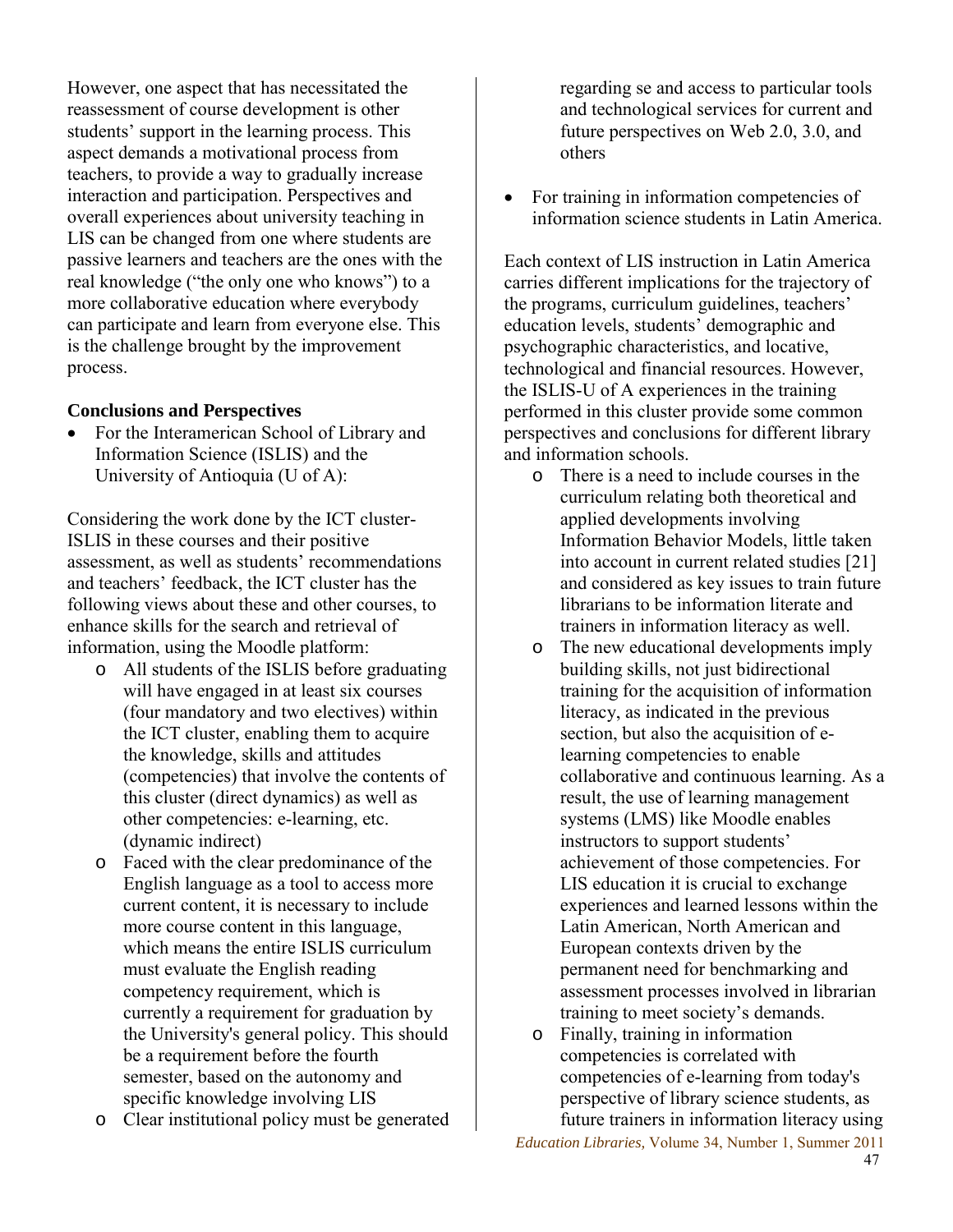However, one aspect that has necessitated the reassessment of course development is other students' support in the learning process. This aspect demands a motivational process from teachers, to provide a way to gradually increase interaction and participation. Perspectives and overall experiences about university teaching in LIS can be changed from one where students are passive learners and teachers are the ones with the real knowledge ("the only one who knows") to a more collaborative education where everybody can participate and learn from everyone else. This is the challenge brought by the improvement process.

#### **Conclusions and Perspectives**

• For the Interamerican School of Library and Information Science (ISLIS) and the University of Antioquia (U of A):

Considering the work done by the ICT cluster-ISLIS in these courses and their positive assessment, as well as students' recommendations and teachers' feedback, the ICT cluster has the following views about these and other courses, to enhance skills for the search and retrieval of information, using the Moodle platform:

- o All students of the ISLIS before graduating will have engaged in at least six courses (four mandatory and two electives) within the ICT cluster, enabling them to acquire the knowledge, skills and attitudes (competencies) that involve the contents of this cluster (direct dynamics) as well as other competencies: e-learning, etc. (dynamic indirect)
- o Faced with the clear predominance of the English language as a tool to access more current content, it is necessary to include more course content in this language, which means the entire ISLIS curriculum must evaluate the English reading competency requirement, which is currently a requirement for graduation by the University's general policy. This should be a requirement before the fourth semester, based on the autonomy and specific knowledge involving LIS
- o Clear institutional policy must be generated

regarding se and access to particular tools and technological services for current and future perspectives on Web 2.0, 3.0, and others

• For training in information competencies of information science students in Latin America.

Each context of LIS instruction in Latin America carries different implications for the trajectory of the programs, curriculum guidelines, teachers' education levels, students' demographic and psychographic characteristics, and locative, technological and financial resources. However, the ISLIS-U of A experiences in the training performed in this cluster provide some common perspectives and conclusions for different library and information schools.

- o There is a need to include courses in the curriculum relating both theoretical and applied developments involving Information Behavior Models, little taken into account in current related studies [21] and considered as key issues to train future librarians to be information literate and trainers in information literacy as well.
- o The new educational developments imply building skills, not just bidirectional training for the acquisition of information literacy, as indicated in the previous section, but also the acquisition of elearning competencies to enable collaborative and continuous learning. As a result, the use of learning management systems (LMS) like Moodle enables instructors to support students' achievement of those competencies. For LIS education it is crucial to exchange experiences and learned lessons within the Latin American, North American and European contexts driven by the permanent need for benchmarking and assessment processes involved in librarian training to meet society's demands.
- o Finally, training in information competencies is correlated with competencies of e-learning from today's perspective of library science students, as future trainers in information literacy using

*Education Libraries,* Volume 34, Number 1, Summer 2011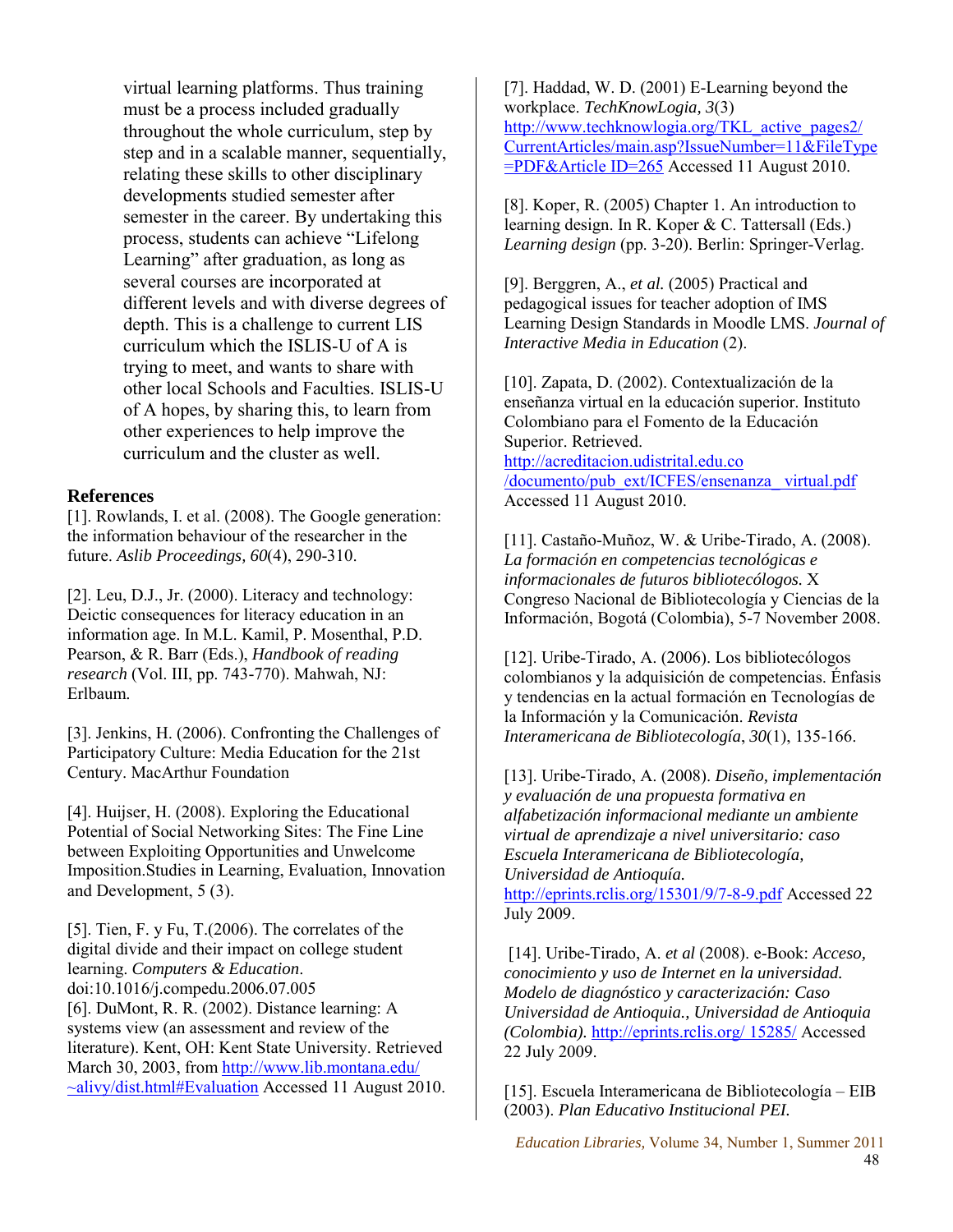virtual learning platforms. Thus training must be a process included gradually throughout the whole curriculum, step by step and in a scalable manner, sequentially, relating these skills to other disciplinary developments studied semester after semester in the career. By undertaking this process, students can achieve "Lifelong Learning" after graduation, as long as several courses are incorporated at different levels and with diverse degrees of depth. This is a challenge to current LIS curriculum which the ISLIS-U of A is trying to meet, and wants to share with other local Schools and Faculties. ISLIS-U of A hopes, by sharing this, to learn from other experiences to help improve the curriculum and the cluster as well.

#### **References**

[1]. Rowlands, I. et al. (2008). The Google generation: the information behaviour of the researcher in the future. *Aslib Proceedings, 60*(4), 290-310.

[2]. Leu, D.J., Jr. (2000). Literacy and technology: Deictic consequences for literacy education in an information age. In M.L. Kamil, P. Mosenthal, P.D. Pearson, & R. Barr (Eds.), *Handbook of reading research* (Vol. III, pp. 743-770). Mahwah, NJ: Erlbaum.

[3]. Jenkins, H. (2006). Confronting the Challenges of Participatory Culture: Media Education for the 21st Century. MacArthur Foundation

[4]. Huijser, H. (2008). Exploring the Educational Potential of Social Networking Sites: The Fine Line between Exploiting Opportunities and Unwelcome Imposition.Studies in Learning, Evaluation, Innovation and Development, 5 (3).

[5]. Tien, F. y Fu, T.(2006). The correlates of the digital divide and their impact on college student learning. *Computers & Education*. doi:10.1016/j.compedu.2006.07.005 [6]. DuMont, R. R. (2002). Distance learning: A systems view (an assessment and review of the literature). Kent, OH: Kent State University. Retrieved March 30, 2003, from [http://www.lib.montana.edu/](http://www.lib.montana.edu/%20~alivy/dist.html#Evaluation)  [~alivy/dist.html#Evaluation](http://www.lib.montana.edu/%20~alivy/dist.html#Evaluation) Accessed 11 August 2010. [7]. Haddad, W. D. (2001) E-Learning beyond the workplace. *TechKnowLogia, 3*(3) [http://www.techknowlogia.org/TKL\\_active\\_pages2/](http://www.techknowlogia.org/TKL_active_pages2/%20CurrentArticles/main.asp?IssueNumber=11&FileType=PDF&Article%20ID=265)  [CurrentArticles/main.asp?IssueNumber=11&FileType](http://www.techknowlogia.org/TKL_active_pages2/%20CurrentArticles/main.asp?IssueNumber=11&FileType=PDF&Article%20ID=265) [=PDF&Article ID=265](http://www.techknowlogia.org/TKL_active_pages2/%20CurrentArticles/main.asp?IssueNumber=11&FileType=PDF&Article%20ID=265) Accessed 11 August 2010.

[8]. Koper, R. (2005) Chapter 1. An introduction to learning design. In R. Koper & C. Tattersall (Eds.) *Learning design* (pp. 3-20). Berlin: Springer-Verlag.

[9]. Berggren, A., *et al.* (2005) Practical and pedagogical issues for teacher adoption of IMS Learning Design Standards in Moodle LMS. *Journal of Interactive Media in Education* (2).

[10]. Zapata, D. (2002). Contextualización de la enseñanza virtual en la educación superior. Instituto Colombiano para el Fomento de la Educación Superior. Retrieved.

http://acreditacion.udistrital.edu.co /documento/pub\_ext/ICFES/ensenanza\_ virtual.pdf Accessed 11 August 2010.

[11]. Castaño-Muñoz, W. & Uribe-Tirado, A. (2008). *La formación en competencias tecnológicas e informacionales de futuros bibliotecólogos.* X Congreso Nacional de Bibliotecología y Ciencias de la Información, Bogotá (Colombia), 5-7 November 2008.

[12]. Uribe-Tirado, A. (2006). Los bibliotecólogos colombianos y la adquisición de competencias. Énfasis y tendencias en la actual formación en Tecnologías de la Información y la Comunicación. *Revista Interamericana de Bibliotecología*, *30*(1), 135-166.

[13]. Uribe-Tirado, A. (2008). *Diseño, implementación y evaluación de una propuesta formativa en alfabetización informacional mediante un ambiente virtual de aprendizaje a nivel universitario: caso Escuela Interamericana de Bibliotecología, Universidad de Antioquía.* 

<http://eprints.rclis.org/15301/9/7-8-9.pdf> Accessed 22 July 2009.

[14]. Uribe-Tirado, A. *et al* (2008). e-Book: *Acceso, conocimiento y uso de Internet en la universidad. Modelo de diagnóstico y caracterización: Caso Universidad de Antioquia., Universidad de Antioquia (Colombia).* [http://eprints.rclis.org/ 15285/](http://eprints.rclis.org/%2015285/) Accessed 22 July 2009.

[15]. Escuela Interamericana de Bibliotecología – EIB (2003). *Plan Educativo Institucional PEI.* 

*Education Libraries,* Volume 34, Number 1, Summer 2011 48